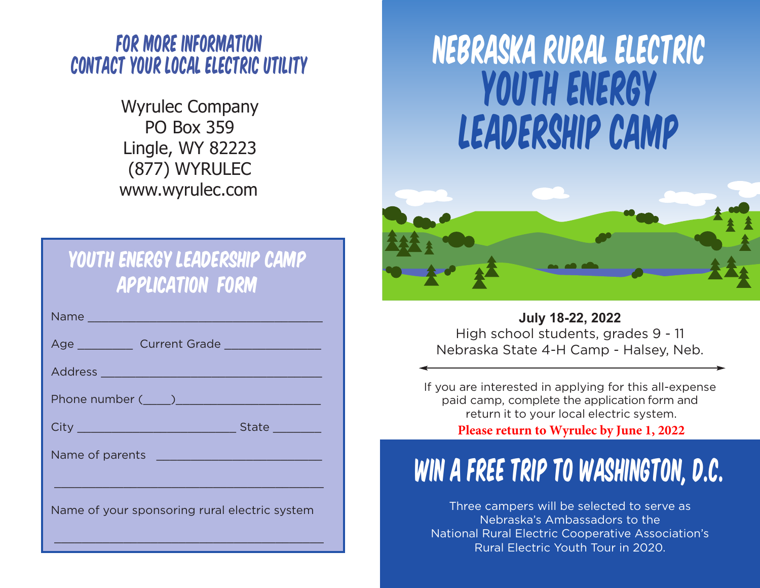#### For more information contact your local electric utility

Wyrulec Company PO Box 359 Lingle, WY 82223 (877) WYRULEC www.wyrulec.com

#### Youth Energy LEADERSHip Camp Application Form

| State _________                               |
|-----------------------------------------------|
| Name of parents Name of parents               |
|                                               |
| Name of your sponsoring rural electric system |

\_\_\_\_\_\_\_\_\_\_\_\_\_\_\_\_\_\_\_\_\_\_\_\_\_\_\_\_\_\_\_\_\_\_\_\_\_\_\_

# Youth energy leadership camp Nebraska rural electric



**July 18-22, 2022** High school students, grades 9 - 11 Nebraska State 4-H Camp - Halsey, Neb.

If you are interested in applying for this all-expense paid camp, complete the application form and return it to your local electric system.

**Please return to Wyrulec by June 1, 2022**

## Win a Free Trip to Washington, D.C.

Three campers will be selected to serve as Nebraska's Ambassadors to the National Rural Electric Cooperative Association's Rural Electric Youth Tour in 2020.